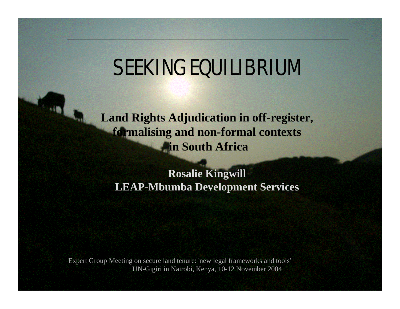# SEEKING EQUILIBRIUM

### **Land Rights Adjudication in off-register, formalising and non-formal contexts in South Africa**

#### **Rosalie Kingwill LEAP-Mbumba Development Services**

Expert Group Meeting on secure land tenure: 'new legal frameworks and tools' UN-Gigiri in Nairobi, Kenya, 10-12 November 2004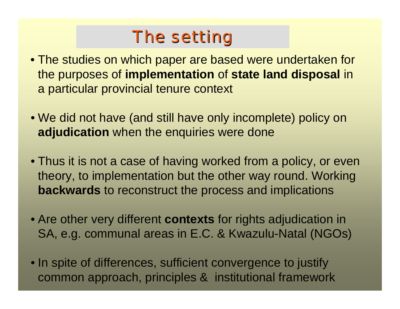## The setting

- The studies on which paper are based were undertaken for the purposes of **implementation** of **state land disposal** in a particular provincial tenure context
- We did not have (and still have only incomplete) policy on **adjudication** when the enquiries were done
- Thus it is not a case of having worked from a policy, or even theory, to implementation but the other way round. Working **backwards** to reconstruct the process and implications
- Are other very different **contexts** for rights adjudication in SA, e.g. communal areas in E.C. & Kwazulu-Natal (NGOs)
- In spite of differences, sufficient convergence to justify common approach, principles & institutional framework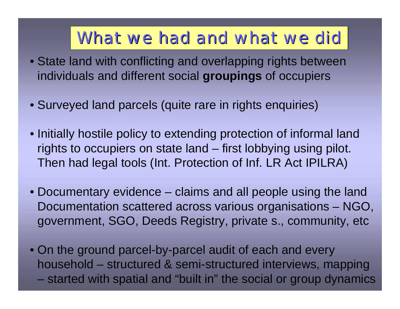### What we had and what we did

- State land with conflicting and overlapping rights between individuals and different social **groupings** of occupiers
- Surveyed land parcels (quite rare in rights enquiries)
- Initially hostile policy to extending protection of informal land rights to occupiers on state land – first lobbying using pilot. Then had legal tools (Int. Protection of Inf. LR Act IPILRA)
- Documentary evidence claims and all people using the land Documentation scattered across various organisations – NGO, government, SGO, Deeds Registry, private s., community, etc
- On the ground parcel-by-parcel audit of each and every household – structured & semi-structured interviews, mapping – started with spatial and "built in" the social or group dynamics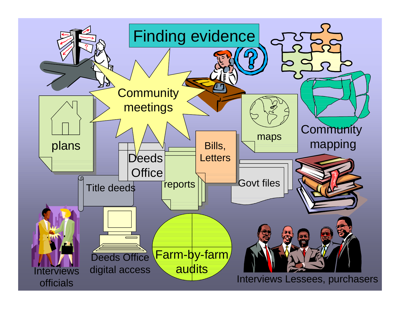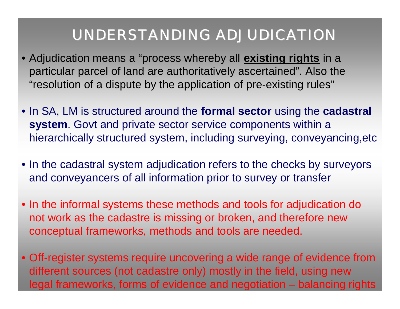### UNDERSTANDING ADJUDICATION

- Adjudication means a "process whereby all **existing rights** in a particular parcel of land are authoritatively ascertained". Also the "resolution of a dispute by the application of pre-existing rules"
- In SA, LM is structured around the **formal sector** using the **cadastral system**. Govt and private sector service components within a hierarchically structured system, including surveying, conveyancing,etc
- In the cadastral system adjudication refers to the checks by surveyors and conveyancers of all information prior to survey or transfer
- In the informal systems these methods and tools for adjudication do not work as the cadastre is missing or broken, and therefore new conceptual frameworks, methods and tools are needed.
- Off-register systems require uncovering a wide range of evidence from different sources (not cadastre only) mostly in the field, using new legal frameworks, forms of evidence and negotiation – balancing rights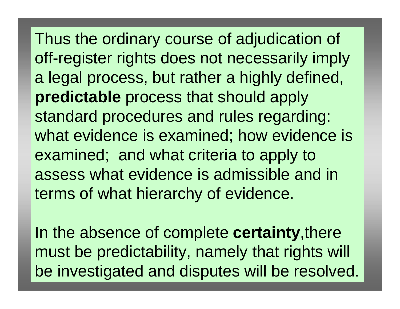Thus the ordinary course of adjudication of off-register rights does not necessarily imply a legal process, but rather a highly defined, **predictable** process that should apply standard procedures and rules regarding: what evidence is examined; how evidence is examined; and what criteria to apply to assess what evidence is admissible and in terms of what hierarchy of evidence.

In the absence of complete **certainty**,there must be predictability, namely that rights will be investigated and disputes will be resolved.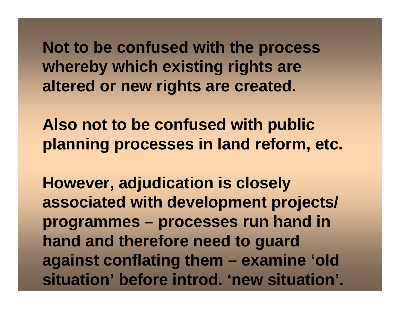**Not to be confused with the process whereby which existing rights are altered or new rights are created.**

**Also not to be confused with public planning processes in land reform, etc.**

**However, adjudication is closely associated with development projects/ programmes – processes run hand in hand and therefore need to guard against conflating them – examine 'old situation' before introd. 'new situation'.**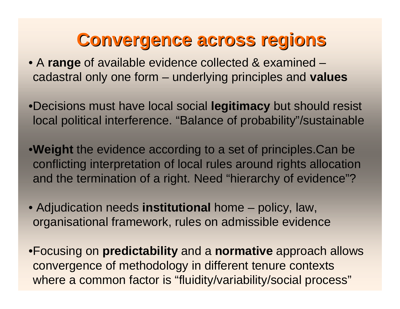## **Convergence across regions**

- A **range** of available evidence collected & examined cadastral only one form – underlying principles and **values**
- •Decisions must have local social **legitimacy** but should resist local political interference. "Balance of probability"/sustainable
- •**Weight** the evidence according to a set of principles.Can be conflicting interpretation of local rules around rights allocation and the termination of a right. Need "hierarchy of evidence"?
- Adjudication needs **institutional** home policy, law, organisational framework, rules on admissible evidence
- •Focusing on **predictability** and a **normative** approach allows convergence of methodology in different tenure contexts where a common factor is "fluidity/variability/social process"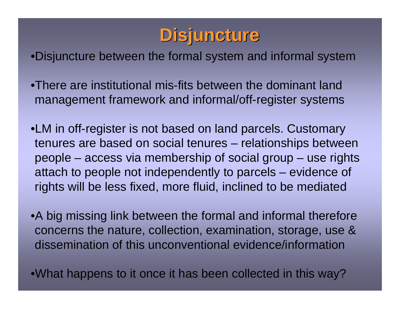## **Disjuncture**

•Disjuncture between the formal system and informal system

•There are institutional mis-fits between the dominant land management framework and informal/off-register systems

•LM in off-register is not based on land parcels. Customary tenures are based on social tenures – relationships between people – access via membership of social group – use rights attach to people not independently to parcels – evidence of rights will be less fixed, more fluid, inclined to be mediated

•A big missing link between the formal and informal therefore concerns the nature, collection, examination, storage, use & dissemination of this unconventional evidence/information

•What happens to it once it has been collected in this way?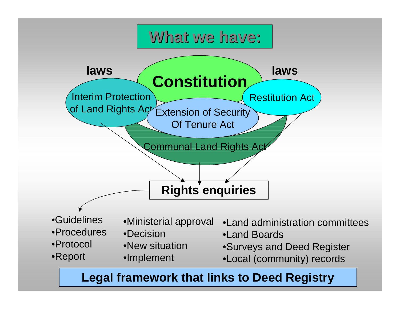

#### **Legal framework that links to Deed Registry**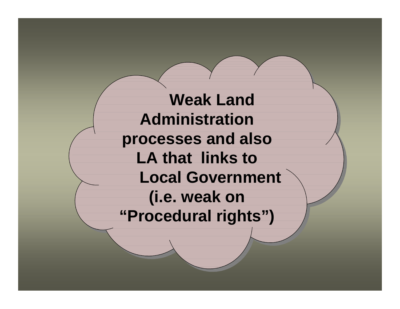**Weak Land Weak Land Administration Administration processes and also processes and also LA that links to LA that links to Local Government Local Government (i.e. weak on (i.e. weak on "Procedural rights") "Procedural rights")**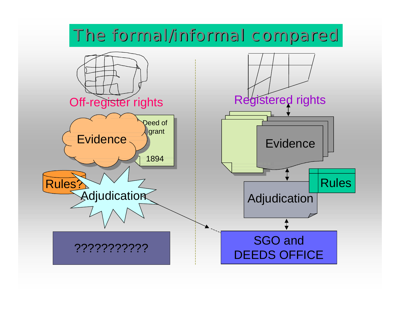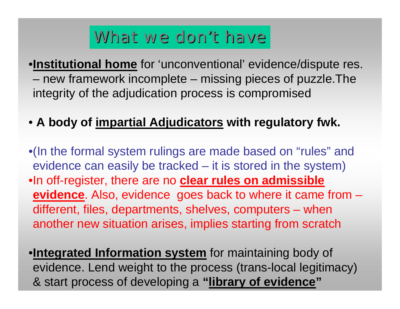## What we don't have

•**Institutional home** for 'unconventional' evidence/dispute res. – new framework incomplete – missing pieces of puzzle.The integrity of the adjudication process is compromised

### • **A body of impartial Adjudicators with regulatory fwk.**

•(In the formal system rulings are made based on "rules" and evidence can easily be tracked – it is stored in the system) •In off-register, there are no **clear rules on admissible evidence**. Also, evidence goes back to where it came from – different, files, departments, shelves, computers – when another new situation arises, implies starting from scratch

•**Integrated Information system** for maintaining body of evidence. Lend weight to the process (trans-local legitimacy) & start process of developing a **"library of evidence"**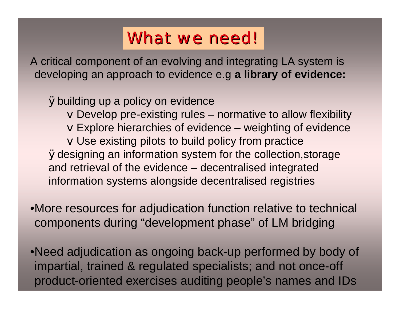## What we need!

A critical component of an evolving and integrating LA system is developing an approach to evidence e.g **a library of evidence:**

Øbuilding up a policy on evidence vDevelop pre-existing rules – normative to allow flexibility vExplore hierarchies of evidence – weighting of evidence vUse existing pilots to build policy from practice Ødesigning an information system for the collection,storage and retrieval of the evidence – decentralised integrated information systems alongside decentralised registries

•More resources for adjudication function relative to technical components during "development phase" of LM bridging

•Need adjudication as ongoing back-up performed by body of impartial, trained & regulated specialists; and not once-off product-oriented exercises auditing people's names and IDs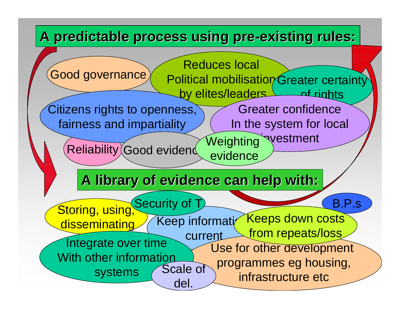### A predictable process using pre-existing rules: